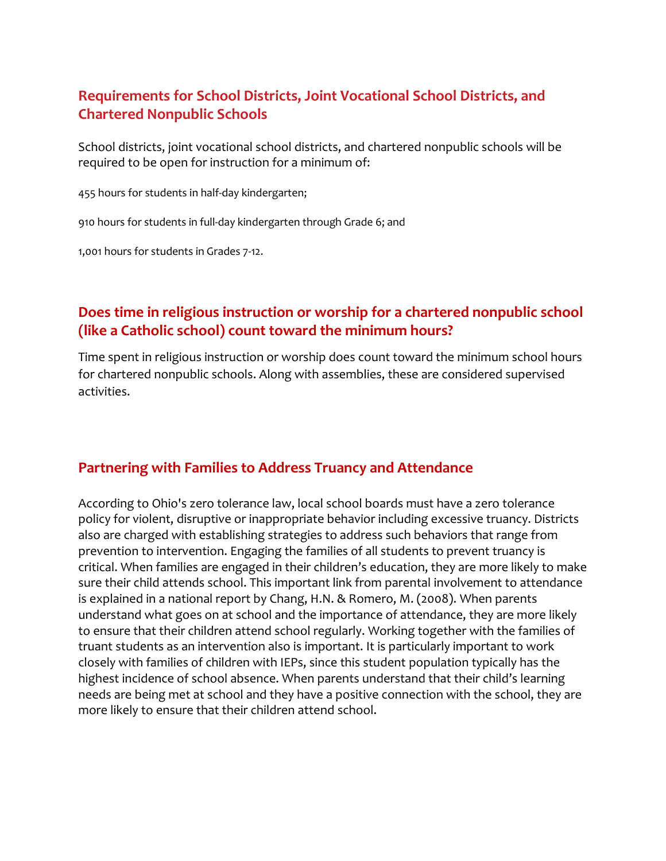# **Requirements for School Districts, Joint Vocational School Districts, and Chartered Nonpublic Schools**

School districts, joint vocational school districts, and chartered nonpublic schools will be required to be open for instruction for a minimum of:

455 hours for students in half-day kindergarten;

910 hours for students in full-day kindergarten through Grade 6; and

1,001 hours for students in Grades 7-12.

# **Does time in religious instruction or worship for a chartered nonpublic school (like a Catholic school) count toward the minimum hours?**

Time spent in religious instruction or worship does count toward the minimum school hours for chartered nonpublic schools. Along with assemblies, these are considered supervised activities.

### **Partnering with Families to Address Truancy and Attendance**

According to Ohio's zero tolerance law, local school boards must have a zero tolerance policy for violent, disruptive or inappropriate behavior including excessive truancy. Districts also are charged with establishing strategies to address such behaviors that range from prevention to intervention. Engaging the families of all students to prevent truancy is critical. When families are engaged in their children's education, they are more likely to make sure their child attends school. This important link from parental involvement to attendance is explained in a national report by Chang, H.N. & Romero, M. (2008). When parents understand what goes on at school and the importance of attendance, they are more likely to ensure that their children attend school regularly. Working together with the families of truant students as an intervention also is important. It is particularly important to work closely with families of children with IEPs, since this student population typically has the highest incidence of school absence. When parents understand that their child's learning needs are being met at school and they have a positive connection with the school, they are more likely to ensure that their children attend school.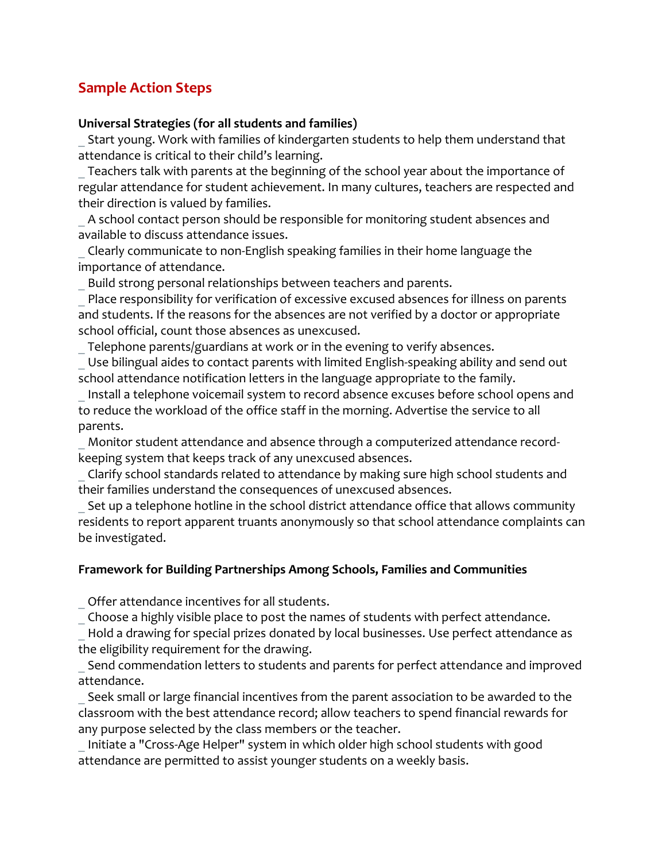# **Sample Action Steps**

#### **Universal Strategies (for all students and families)**

Start young. Work with families of kindergarten students to help them understand that attendance is critical to their child's learning.

\_ Teachers talk with parents at the beginning of the school year about the importance of regular attendance for student achievement. In many cultures, teachers are respected and their direction is valued by families.

\_ A school contact person should be responsible for monitoring student absences and available to discuss attendance issues.

\_ Clearly communicate to non-English speaking families in their home language the importance of attendance.

Build strong personal relationships between teachers and parents.

Place responsibility for verification of excessive excused absences for illness on parents and students. If the reasons for the absences are not verified by a doctor or appropriate school official, count those absences as unexcused.

Telephone parents/guardians at work or in the evening to verify absences.

\_ Use bilingual aides to contact parents with limited English-speaking ability and send out school attendance notification letters in the language appropriate to the family.

Install a telephone voicemail system to record absence excuses before school opens and to reduce the workload of the office staff in the morning. Advertise the service to all parents.

Monitor student attendance and absence through a computerized attendance recordkeeping system that keeps track of any unexcused absences.

\_ Clarify school standards related to attendance by making sure high school students and their families understand the consequences of unexcused absences.

\_ Set up a telephone hotline in the school district attendance office that allows community residents to report apparent truants anonymously so that school attendance complaints can be investigated.

#### **Framework for Building Partnerships Among Schools, Families and Communities**

\_ Offer attendance incentives for all students.

\_ Choose a highly visible place to post the names of students with perfect attendance.

Hold a drawing for special prizes donated by local businesses. Use perfect attendance as the eligibility requirement for the drawing.

Send commendation letters to students and parents for perfect attendance and improved attendance.

Seek small or large financial incentives from the parent association to be awarded to the classroom with the best attendance record; allow teachers to spend financial rewards for any purpose selected by the class members or the teacher.

\_ Initiate a "Cross-Age Helper" system in which older high school students with good attendance are permitted to assist younger students on a weekly basis.